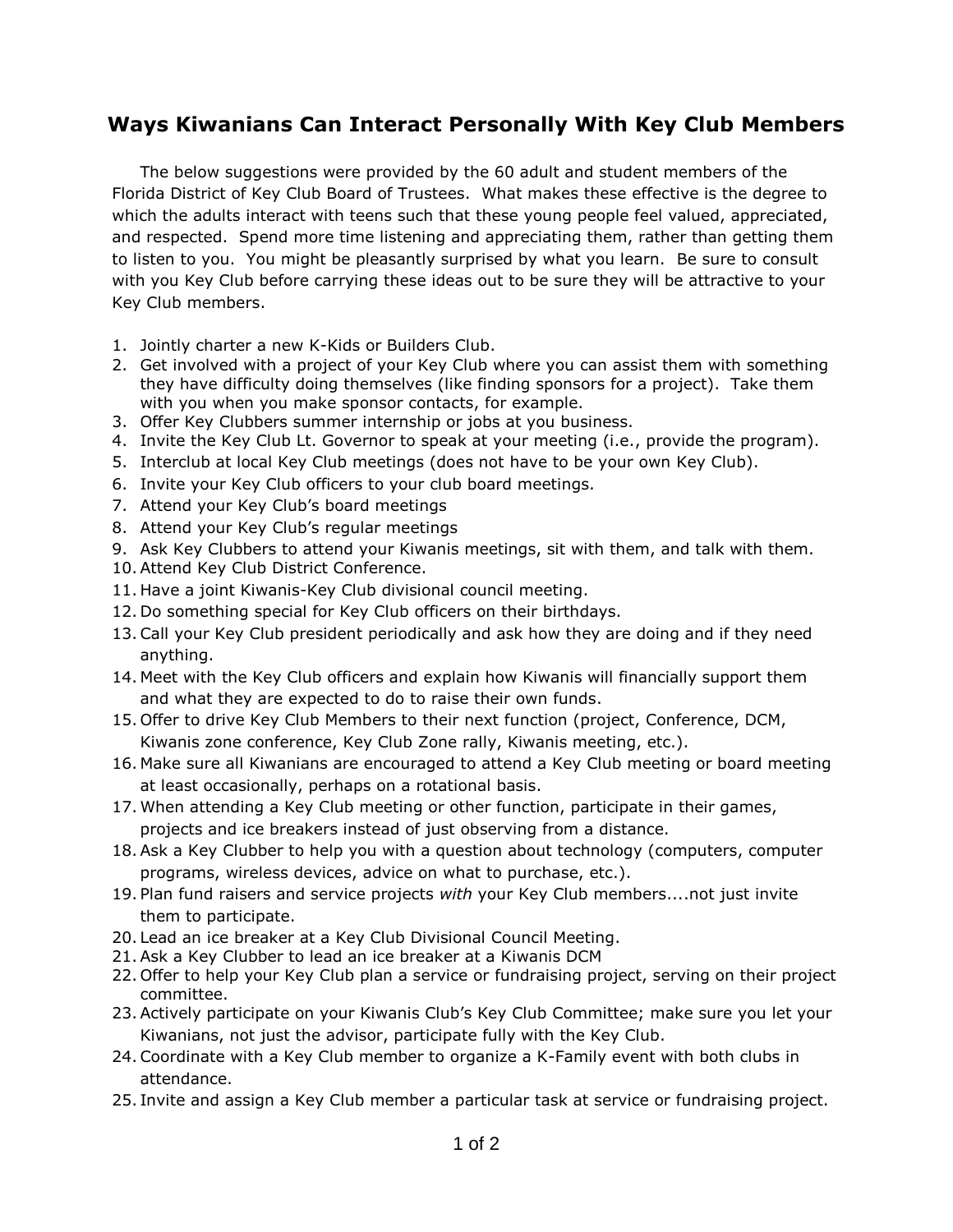## **Ways Kiwanians Can Interact Personally With Key Club Members**

The below suggestions were provided by the 60 adult and student members of the Florida District of Key Club Board of Trustees. What makes these effective is the degree to which the adults interact with teens such that these young people feel valued, appreciated, and respected. Spend more time listening and appreciating them, rather than getting them to listen to you. You might be pleasantly surprised by what you learn. Be sure to consult with you Key Club before carrying these ideas out to be sure they will be attractive to your Key Club members.

- 1. Jointly charter a new K-Kids or Builders Club.
- 2. Get involved with a project of your Key Club where you can assist them with something they have difficulty doing themselves (like finding sponsors for a project). Take them with you when you make sponsor contacts, for example.
- 3. Offer Key Clubbers summer internship or jobs at you business.
- 4. Invite the Key Club Lt. Governor to speak at your meeting (i.e., provide the program).
- 5. Interclub at local Key Club meetings (does not have to be your own Key Club).
- 6. Invite your Key Club officers to your club board meetings.
- 7. Attend your Key Club's board meetings
- 8. Attend your Key Club's regular meetings
- 9. Ask Key Clubbers to attend your Kiwanis meetings, sit with them, and talk with them.
- 10.Attend Key Club District Conference.
- 11. Have a joint Kiwanis-Key Club divisional council meeting.
- 12. Do something special for Key Club officers on their birthdays.
- 13.Call your Key Club president periodically and ask how they are doing and if they need anything.
- 14. Meet with the Key Club officers and explain how Kiwanis will financially support them and what they are expected to do to raise their own funds.
- 15. Offer to drive Key Club Members to their next function (project, Conference, DCM, Kiwanis zone conference, Key Club Zone rally, Kiwanis meeting, etc.).
- 16. Make sure all Kiwanians are encouraged to attend a Key Club meeting or board meeting at least occasionally, perhaps on a rotational basis.
- 17. When attending a Key Club meeting or other function, participate in their games, projects and ice breakers instead of just observing from a distance.
- 18.Ask a Key Clubber to help you with a question about technology (computers, computer programs, wireless devices, advice on what to purchase, etc.).
- 19. Plan fund raisers and service projects *with* your Key Club members....not just invite them to participate.
- 20. Lead an ice breaker at a Key Club Divisional Council Meeting.
- 21.Ask a Key Clubber to lead an ice breaker at a Kiwanis DCM
- 22. Offer to help your Key Club plan a service or fundraising project, serving on their project committee.
- 23.Actively participate on your Kiwanis Club's Key Club Committee; make sure you let your Kiwanians, not just the advisor, participate fully with the Key Club.
- 24.Coordinate with a Key Club member to organize a K-Family event with both clubs in attendance.
- 25. Invite and assign a Key Club member a particular task at service or fundraising project.